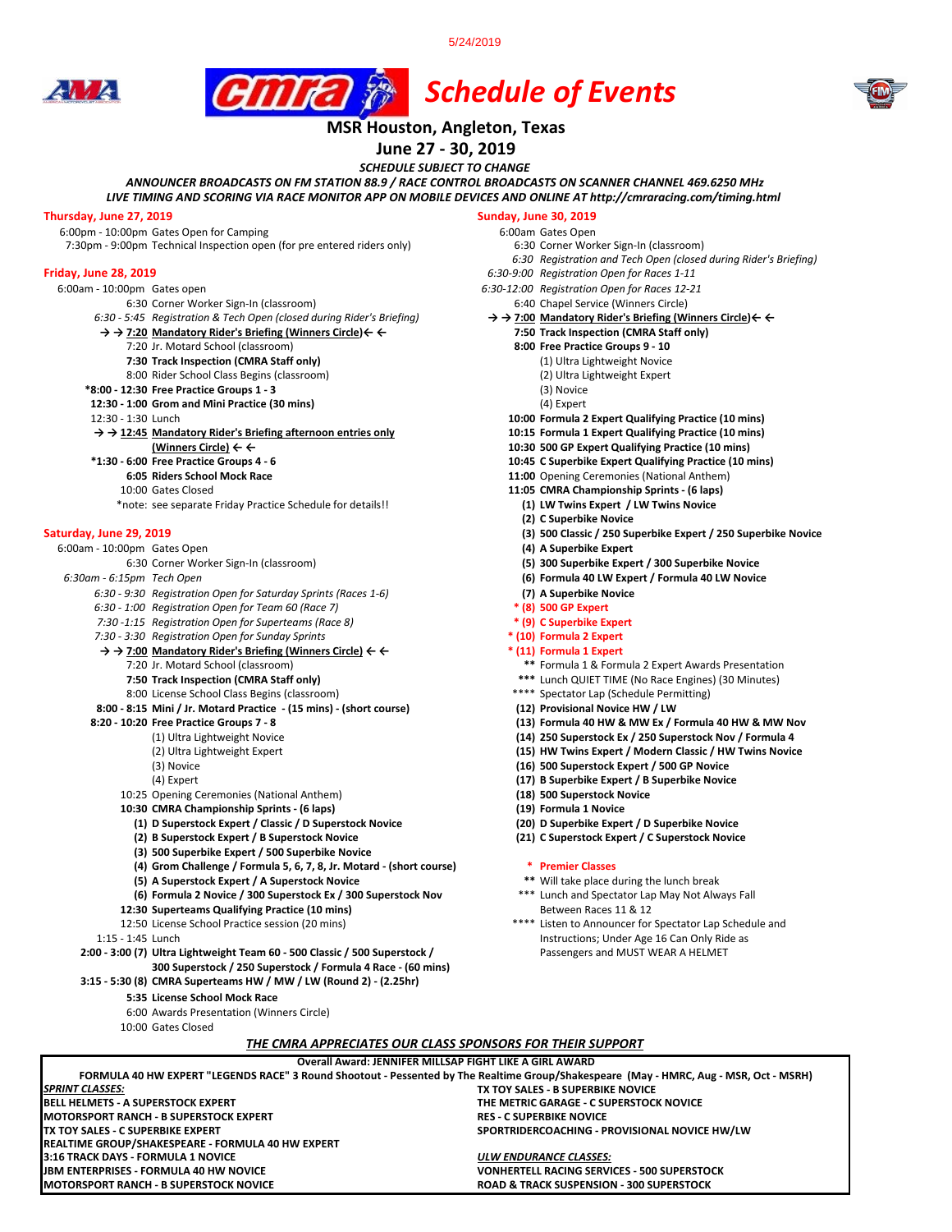5/24/2019







# **MSR Houston, Angleton, Texas**

# **June 27 - 30, 2019**

*SCHEDULE SUBJECT TO CHANGE*

*ANNOUNCER BROADCASTS ON FM STATION 88.9 / RACE CONTROL BROADCASTS ON SCANNER CHANNEL 469.6250 MHz*

*LIVE TIMING AND SCORING VIA RACE MONITOR APP ON MOBILE DEVICES AND ONLINE AT http://cmraracing.com/timing.html* 

**Thursday, June 27, 2019**<br>6:00pm - 10:00pm Gates Open for Camping<br>6:00pm - 10:00pm Gates Open 6:00pm - 10:00pm Gates Open for Camping<br>7:30pm - 9:00pm Technical Inspection open (for pre entered riders only) 6:30 Corner Worker Sign-In (classroom) 7:30pm - 9:00pm Technical Inspection open (for pre entered riders only)

- -
	- 6:30 Corner Worker Sign-In (classroom)<br>5:45 Registration & Tech Open (closed during Rider's Briefing) 6:40 Chapel Service (Winners Circle) < < 5:45 Registration & Tech Open (closed during Rider's Briefing (Winners Circl *6:30 - 5:45 Registration & Tech Open (closed during Rider's Briefing)* **→ → 7:00 Mandatory Rider's Briefing (Winners Circle)← ←**
	- **→ → 7:20 Mandatory Rider's Briefing (Winners Circle)← ← 7:50 Track Inspection (CMRA Staff only)**
		- 7:20 Jr. Motard School (classroom) **8:00 Free Practice Groups 9 10**
		- **7:30 Track Inspection (CMRA Staff only)** (1) Ultra Lightweight Novice
		- 8:00 Rider School Class Begins (classroom)
	- **\*8:00 12:30 Free Practice Groups 1 3** (3) Novice
	- **12:30 1:00 Grom and Mini Practice (30 mins) 12:30 1:30 Lunch**
	-

#### **→ → 12:45 Mandatory Rider's Briefing afternoon entries only 10:15 Formula 1 Expert Qualifying Practice (10 mins)**

- 
- 
- 
- 
- \*note: see separate Friday Practice Schedule for details!!

- 6:00am 10:00pm Gates Open **(4) A Superbike Expert**
- - *6:30 9:30 Registration Open for Saturday Sprints (Races 1-6)* **(7) A Superbike Novice**
	- *6:30 1:00 Registration Open for Team 60 (Race 7)* **\* (8) 500 GP Expert**
	- *7:30 -1:15 Registration Open for Superteams (Race 8)* **\* (9) C Superbike Expert**
	- *7:30 3:30 Registration Open for Sunday Sprints* **\* (10) Formula 2 Expert**
	- **→ → 7:00 Mandatory Rider's Briefing (Winners Circle) ← ← \* (11) Formula 1 Expert** 
		-
		- 8:00 License School Class Begins (classroom) \*\*\*\* Spectator Lap (Schedule Permitting)
	- **8:00 8:15 Mini / Jr. Motard Practice (15 mins) (short course) (12) Provisional Novice HW / LW**
	- -
		-
		-
		- 10:25 Opening Ceremonies (National Anthem) **(18) 500 Superstock Novice**
		-
		- **10:30 CMRA Championship Sprints (6 laps) (19) Formula 1 Novice (1) D Superstock Expert / Classic / D Superstock Novice (20) D Superbike Expert / D Superbike Novice**
			- **(2) B Superstock Expert / B Superstock Novice (21) C Superstock Expert / C Superstock Novice**
			- **(3) 500 Superbike Expert / 500 Superbike Novice**
			- **(4) Grom Challenge / Formula 5, 6, 7, 8, Jr. Motard (short course) \* Premier Classes**

**BELL HELMETS - A SUPERSTOCK EXPERT THE METRIC GARAGE - C SUPERSTOCK NOVICE**

**FORMULA 40 HW EXPERT "LEGENDS RACE" 3 Round Shootout - Pessented by The Realtime Group/Shakespeare (May - HMRC, Aug - MSR, Oct - MSRH)**

**Overall Award: JENNIFER MILLSAP FIGHT LIKE A GIRL AWARD**

*THE CMRA APPRECIATES OUR CLASS SPONSORS FOR THEIR SUPPORT*

**MOTORSPORT RANCH - B SUPERSTOCK NOVICE ROAD & TRACK SUSPENSION - 300 SUPERSTOCK**

**3:16 TRACK DAYS - FORMULA 1 NOVICE** *ULW ENDURANCE CLASSES:*

- 
- **(5) A Superstock Expert / A Superstock Novice \*\*** Will take place during the lunch break **(6) Formula 2 Novice / 300 Superstock Ex / 300 Superstock Nov**
- **12:30 Superteams Qualifying Practice (10 mins)** Between Races 11 & 12
- 12:50 License School Practice session (20 mins) \*\*\*\* Listen to Announcer for Spectator Lap Schedule and
- 1:15 1:45 Lunch Instructions; Under Age 16 Can Only Ride as
- **2:00 3:00 (7) Ultra Lightweight Team 60 500 Classic / 500 Superstock /** Passengers and MUST WEAR A HELMET **300 Superstock / 250 Superstock / Formula 4 Race - (60 mins)**
- **3:15 5:30 (8) CMRA Superteams HW / MW / LW (Round 2) (2.25hr)** 
	- **5:35 License School Mock Race**

**REALTIME GROUP/SHAKESPEARE - FORMULA 40 HW EXPERT**

- 6:00 Awards Presentation (Winners Circle)
- 10:00 Gates Closed

**MOTORSPORT RANCH - B SUPERSTOCK EXPERT<br>TX TOY SALES - C SUPERBIKE EXPERT** 

*SPRINT CLASSES:*

- -
	-
- *6:30 Registration and Tech Open (closed during Rider's Briefing)*
- **Friday, June 28, 2019** *6:30-9:00 Registration Open for Races 1-11*
	- 6:00am 10:00pm Gates open *6:30-12:00 Registration Open for Races 12-21*
		-
		- -
			- -
				-
				-
				-
			- 10:00 Formula 2 Expert Qualifying Practice (10 mins)
			-
		- **(Winners Circle) ← ← 10:30 500 GP Expert Qualifying Practice (10 mins)**
			- **\*1:30 6:00 Free Practice Groups 4 6 10:45 C Superbike Expert Qualifying Practice (10 mins)**
				- **11:00** Opening Ceremonies (National Anthem)
			- 10:00 Gates Closed **11:05 CMRA Championship Sprints (6 laps)**
				-
				- **(2) C Superbike Novice**
- **Saturday, June 29, 2019 (3) 500 Classic / 250 Superbike Expert / 250 Superbike Novice**
	-
	- 6:30 Corner Worker Sign-In (classroom) **(5) 300 Superbike Expert / 300 Superbike Novice**
	- *6:30am 6:15pm Tech Open* **(6) Formula 40 LW Expert / Formula 40 LW Novice**
		-
		-
		-
		-
		-

**TX TOY SALES - B SUPERBIKE NOVICE**

**SPORTRIDERCOACHING - PROVISIONAL NOVICE HW/LW** 

**VONHERTELL RACING SERVICES - 500 SUPERSTOCK** 

- 7:20 Jr. Motard School (classroom) **\*\*** Formula 1 & Formula 2 Expert Awards Presentation
- **7:50 Track Inspection (CMRA Staff only) \*\*\*** Lunch QUIET TIME (No Race Engines) (30 Minutes)
	-
	-
	- **8:20 10:20 Free Practice Groups 7 8 (13) Formula 40 HW & MW Ex / Formula 40 HW & MW Nov**
	- (1) Ultra Lightweight Novice **(14) 250 Superstock Ex / 250 Superstock Nov / Formula 4** 
		- (15) HW Twins Expert / Modern Classic / HW Twins Novice
	- (3) Novice **(16) 500 Superstock Expert / 500 GP Novice**
	- (4) Expert **(17) B Superbike Expert / B Superbike Novice**